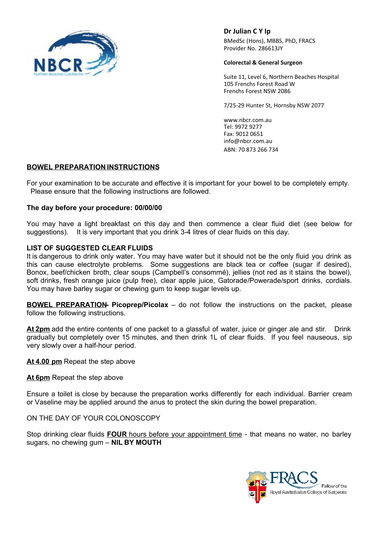

**Dr Julian C Y Ip**

BMedSc (Hons), MBBS, PhD, FRACS Provider No. 286613JY

#### **Colorectal & General Surgeon**

Suite 11, Level 6, Northern Beaches Hospital 105 Frenchs Forest Road W Frenchs Forest NSW 2086

7/25-29 Hunter St, Hornsby NSW 2077

www.nbcr.com.au Tel: 9972 9277 Fax: 9012 0651 info@nbcr.com.au ABN: 70 873 266 734

# **BOWEL PREPARATION INSTRUCTIONS**

For your examination to be accurate and effective it is important for your bowel to be completely empty. Please ensure that the following instructions are followed.

### **The day before your procedure: 00/00/00**

You may have a light breakfast on this day and then commence a clear fluid diet (see below for suggestions). It is very important that you drink 3-4 litres of clear fluids on this day.

### **LIST OF SUGGESTED CLEAR FLUIDS**

It is dangerous to drink only water. You may have water but it should not be the only fluid you drink as this can cause electrolyte problems. Some suggestions are black tea or coffee (sugar if desired), Bonox, beef/chicken broth, clear soups (Campbell's consommé), jellies (not red as it stains the bowel), soft drinks, fresh orange juice (pulp free), clear apple juice, Gatorade/Powerade/sport drinks, cordials. You may have barley sugar or chewing gum to keep sugar levels up.

**BOWEL PREPARATION- Picoprep/Picolax** – do not follow the instructions on the packet, please follow the following instructions.

**At 2pm** add the entire contents of one packet to a glassful of water, juice or ginger ale and stir. Drink gradually but completely over 15 minutes, and then drink 1L of clear fluids. If you feel nauseous, sip very slowly over a half-hour period.

**At 4.00 pm** Repeat the step above

**At 6pm** Repeat the step above

Ensure a toilet is close by because the preparation works differently for each individual. Barrier cream or Vaseline may be applied around the anus to protect the skin during the bowel preparation.

ON THE DAY OF YOUR COLONOSCOPY

Stop drinking clear fluids **FOUR** hours before your appointment time - that means no water, no barley sugars, no chewing gum – **NIL BY MOUTH**